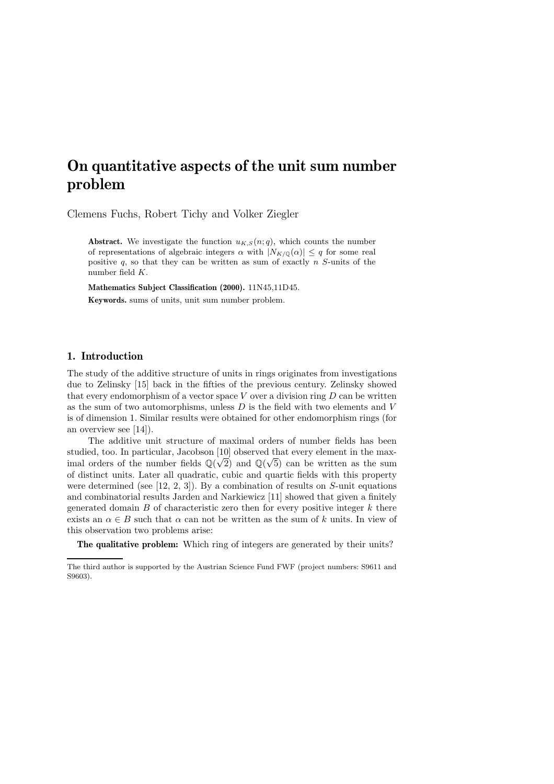# On quantitative aspects of the unit sum number problem

Clemens Fuchs, Robert Tichy and Volker Ziegler

Abstract. We investigate the function  $u_{K,S}(n; q)$ , which counts the number of representations of algebraic integers  $\alpha$  with  $|N_{K/\mathbb{Q}}(\alpha)| \leq q$  for some real positive q, so that they can be written as sum of exactly  $n S$ -units of the number field K.

Mathematics Subject Classification (2000). 11N45,11D45.

Keywords. sums of units, unit sum number problem.

## 1. Introduction

The study of the additive structure of units in rings originates from investigations due to Zelinsky [15] back in the fifties of the previous century. Zelinsky showed that every endomorphism of a vector space  $V$  over a division ring  $D$  can be written as the sum of two automorphisms, unless  $D$  is the field with two elements and  $V$ is of dimension 1. Similar results were obtained for other endomorphism rings (for an overview see [14]).

The additive unit structure of maximal orders of number fields has been studied, too. In particular, Jacobson [10] observed that every element in the maximal orders of the number fields  $\mathbb{Q}(\sqrt{2})$  and  $\mathbb{Q}(\sqrt{5})$  can be written as the sum of distinct units. Later all quadratic, cubic and quartic fields with this property were determined (see  $[12, 2, 3]$ ). By a combination of results on S-unit equations and combinatorial results Jarden and Narkiewicz [11] showed that given a finitely generated domain  $B$  of characteristic zero then for every positive integer  $k$  there exists an  $\alpha \in B$  such that  $\alpha$  can not be written as the sum of k units. In view of this observation two problems arise:

The qualitative problem: Which ring of integers are generated by their units?

The third author is supported by the Austrian Science Fund FWF (project numbers: S9611 and S9603).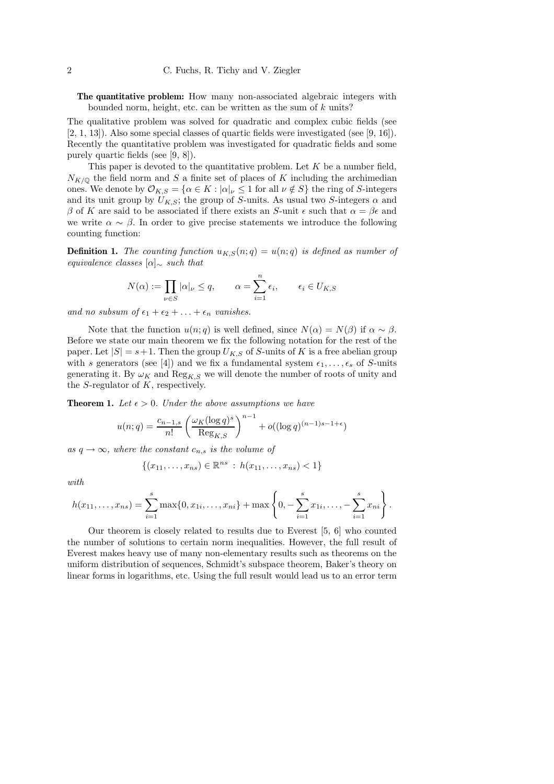The quantitative problem: How many non-associated algebraic integers with bounded norm, height, etc. can be written as the sum of  $k$  units?

The qualitative problem was solved for quadratic and complex cubic fields (see [2, 1, 13]). Also some special classes of quartic fields were investigated (see [9, 16]). Recently the quantitative problem was investigated for quadratic fields and some purely quartic fields (see [9, 8]).

This paper is devoted to the quantitative problem. Let  $K$  be a number field,  $N_{K/\mathbb{Q}}$  the field norm and S a finite set of places of K including the archimedian ones. We denote by  $\mathcal{O}_{K,S} = \{ \alpha \in K : |\alpha|_{\nu} \leq 1 \text{ for all } \nu \notin S \}$  the ring of S-integers and its unit group by  $U_{K,S}$ ; the group of S-units. As usual two S-integers  $\alpha$  and β of K are said to be associated if there exists an S-unit  $\epsilon$  such that  $\alpha = \beta \epsilon$  and we write  $\alpha \sim \beta$ . In order to give precise statements we introduce the following counting function:

**Definition 1.** The counting function  $u_{K,S}(n;q) = u(n;q)$  is defined as number of equivalence classes  $\lbrack \alpha \rbrack_{\infty}$  such that

$$
N(\alpha) := \prod_{\nu \in S} |\alpha|_{\nu} \le q, \qquad \alpha = \sum_{i=1}^{n} \epsilon_i, \qquad \epsilon_i \in U_{K,S}
$$

and no subsum of  $\epsilon_1 + \epsilon_2 + \ldots + \epsilon_n$  vanishes.

Note that the function  $u(n; q)$  is well defined, since  $N(\alpha) = N(\beta)$  if  $\alpha \sim \beta$ . Before we state our main theorem we fix the following notation for the rest of the paper. Let  $|S| = s+1$ . Then the group  $U_{K,S}$  of S-units of K is a free abelian group with s generators (see [4]) and we fix a fundamental system  $\epsilon_1, \ldots, \epsilon_s$  of S-units generating it. By  $\omega_K$  and  $\text{Reg}_{K,S}$  we will denote the number of roots of unity and the  $S$ -regulator of  $K$ , respectively.

**Theorem 1.** Let  $\epsilon > 0$ . Under the above assumptions we have

$$
u(n;q) = \frac{c_{n-1,s}}{n!} \left( \frac{\omega_K (\log q)^s}{\text{Reg}_{K,S}} \right)^{n-1} + o((\log q)^{(n-1)s - 1 + \epsilon})
$$

as  $q \rightarrow \infty$ , where the constant  $c_{n,s}$  is the volume of

$$
\{(x_{11},\ldots,x_{ns})\in\mathbb{R}^{ns} : h(x_{11},\ldots,x_{ns}) < 1\}
$$

with

$$
h(x_{11},\ldots,x_{ns})=\sum_{i=1}^s \max\{0,x_{1i},\ldots,x_{ni}\}+\max\left\{0,-\sum_{i=1}^s x_{1i},\ldots,-\sum_{i=1}^s x_{ni}\right\}.
$$

Our theorem is closely related to results due to Everest [5, 6] who counted the number of solutions to certain norm inequalities. However, the full result of Everest makes heavy use of many non-elementary results such as theorems on the uniform distribution of sequences, Schmidt's subspace theorem, Baker's theory on linear forms in logarithms, etc. Using the full result would lead us to an error term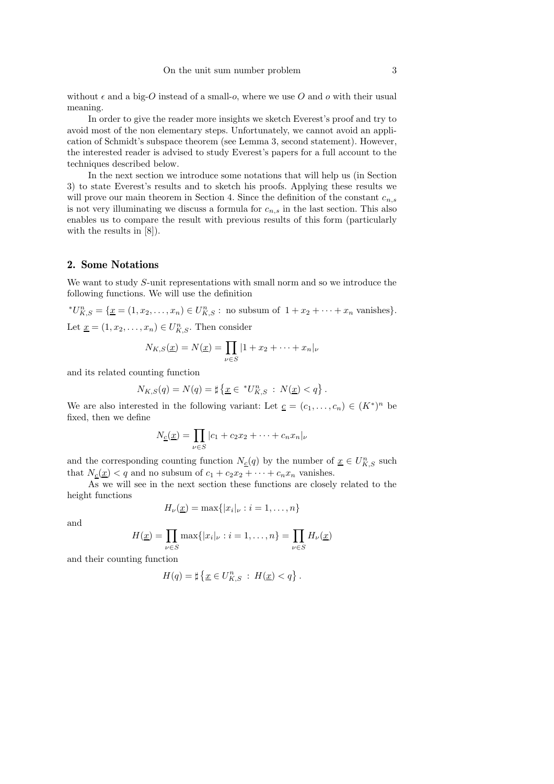without  $\epsilon$  and a big-O instead of a small-o, where we use O and o with their usual meaning.

In order to give the reader more insights we sketch Everest's proof and try to avoid most of the non elementary steps. Unfortunately, we cannot avoid an application of Schmidt's subspace theorem (see Lemma 3, second statement). However, the interested reader is advised to study Everest's papers for a full account to the techniques described below.

In the next section we introduce some notations that will help us (in Section 3) to state Everest's results and to sketch his proofs. Applying these results we will prove our main theorem in Section 4. Since the definition of the constant  $c_{n,s}$ is not very illuminating we discuss a formula for  $c_{n,s}$  in the last section. This also enables us to compare the result with previous results of this form (particularly with the results in  $[8]$ ).

### 2. Some Notations

We want to study S-unit representations with small norm and so we introduce the following functions. We will use the definition

 ${}^*U_{K,S}^n = {\underline{x}} = (1, x_2, \dots, x_n) \in U_{K,S}^n$ : no subsum of  $1 + x_2 + \dots + x_n$  vanishes}. Let  $\underline{x} = (1, x_2, \dots, x_n) \in U_{K,S}^n$ . Then consider

$$
N_{K,S}(\underline{x}) = N(\underline{x}) = \prod_{\nu \in S} |1 + x_2 + \dots + x_n|_{\nu}
$$

and its related counting function

$$
N_{K,S}(q) = N(q) = \sharp \{ \underline{x} \in {}^{*}U^{n}_{K,S} : N(\underline{x}) < q \}.
$$

We are also interested in the following variant: Let  $\underline{c} = (c_1, \ldots, c_n) \in (K^*)^n$  be fixed, then we define

$$
N_{\underline{c}}(\underline{x}) = \prod_{\nu \in S} |c_1 + c_2 x_2 + \dots + c_n x_n|_{\nu}
$$

and the corresponding counting function  $N_{\underline{c}}(q)$  by the number of  $\underline{x} \in U_{K,S}^n$  such that  $N_c(\underline{x}) < q$  and no subsum of  $c_1 + c_2x_2 + \cdots + c_nx_n$  vanishes.

As we will see in the next section these functions are closely related to the height functions

$$
H_{\nu}(\underline{x}) = \max\{|x_i|_{\nu} : i = 1,\ldots,n\}
$$

and

$$
H(\underline{x}) = \prod_{\nu \in S} \max\{|x_i|_{\nu} : i = 1, ..., n\} = \prod_{\nu \in S} H_{\nu}(\underline{x})
$$

and their counting function

$$
H(q) = \sharp \left\{ \underline{x} \in U_{K,S}^n : H(\underline{x}) < q \right\}.
$$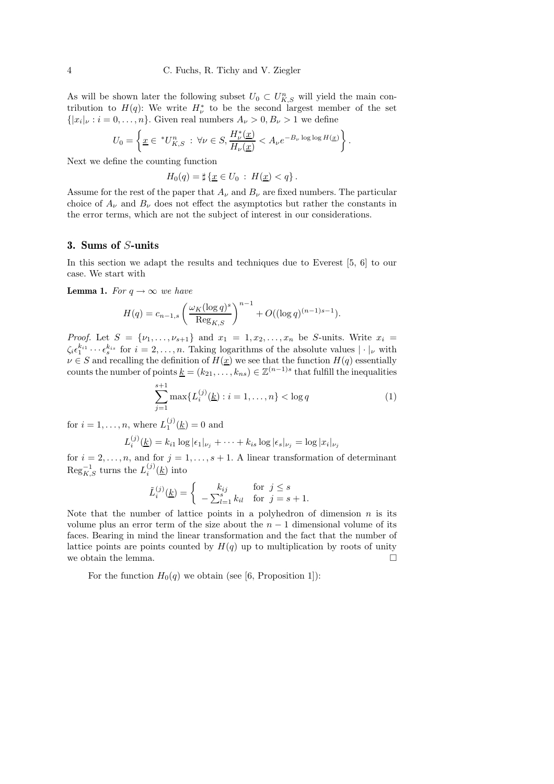As will be shown later the following subset  $U_0 \subset U_{K,S}^n$  will yield the main contribution to  $H(q)$ : We write  $H^*_{\nu}$  to be the second largest member of the set  $\{|x_i|_{\nu} : i = 0, \ldots, n\}$ . Given real numbers  $A_{\nu} > 0, B_{\nu} > 1$  we define

$$
U_0 = \left\{ \underline{x} \in {^*U^n_{K,S}} \ : \ \forall \nu \in S, \frac{H^*_\nu(\underline{x})}{H_\nu(\underline{x})} < A_\nu e^{-B_\nu \log \log H(\underline{x})} \right\}.
$$

Next we define the counting function

 $H_0(q) = \sharp \{ \underline{x} \in U_0 : H(\underline{x}) < q \}.$ 

Assume for the rest of the paper that  $A_{\nu}$  and  $B_{\nu}$  are fixed numbers. The particular choice of  $A_{\nu}$  and  $B_{\nu}$  does not effect the asymptotics but rather the constants in the error terms, which are not the subject of interest in our considerations.

#### 3. Sums of S-units

In this section we adapt the results and techniques due to Everest [5, 6] to our case. We start with

**Lemma 1.** For  $q \rightarrow \infty$  we have

$$
H(q) = c_{n-1,s} \left( \frac{\omega_K (\log q)^s}{\text{Reg}_{K,S}} \right)^{n-1} + O((\log q)^{(n-1)s-1}).
$$

*Proof.* Let  $S = \{\nu_1, \ldots, \nu_{s+1}\}\$  and  $x_1 = 1, x_2, \ldots, x_n$  be S-units. Write  $x_i =$  $\zeta_i \epsilon_1^{k_{i1}} \cdots \epsilon_s^{k_{is}}$  for  $i = 2, \ldots, n$ . Taking logarithms of the absolute values  $|\cdot|_v$  with  $\nu \in S$  and recalling the definition of  $H(\underline{x})$  we see that the function  $H(q)$  essentially counts the number of points  $\underline{k} = (k_{21}, \ldots, k_{ns}) \in \mathbb{Z}^{(n-1)s}$  that fulfill the inequalities

$$
\sum_{j=1}^{s+1} \max\{L_i^{(j)}(\underline{k}) : i = 1, \dots, n\} < \log q \tag{1}
$$

for  $i = 1, ..., n$ , where  $L_1^{(j)}(\underline{k}) = 0$  and

$$
L_i^{(j)}(\underline{k}) = k_{i1} \log |\epsilon_1|_{\nu_j} + \cdots + k_{is} \log |\epsilon_s|_{\nu_j} = \log |x_i|_{\nu_j}
$$

for  $i = 2, \ldots, n$ , and for  $j = 1, \ldots, s + 1$ . A linear transformation of determinant  $\operatorname{Reg}_{K,S}^{-1}$  turns the  $L_i^{(j)}(\underline{k})$  into

$$
\tilde{L}_i^{(j)}(\underline{k}) = \begin{cases}\n k_{ij} & \text{for } j \le s \\
-\sum_{l=1}^s k_{il} & \text{for } j = s+1.\n\end{cases}
$$

Note that the number of lattice points in a polyhedron of dimension  $n$  is its volume plus an error term of the size about the  $n-1$  dimensional volume of its faces. Bearing in mind the linear transformation and the fact that the number of lattice points are points counted by  $H(q)$  up to multiplication by roots of unity we obtain the lemma.  $\Box$ 

For the function  $H_0(q)$  we obtain (see [6, Proposition 1]):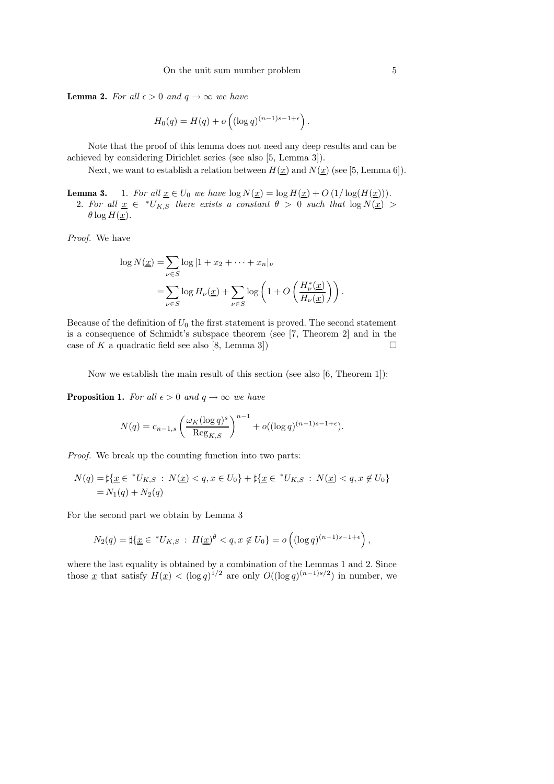**Lemma 2.** For all  $\epsilon > 0$  and  $q \to \infty$  we have

$$
H_0(q) = H(q) + o\left( (\log q)^{(n-1)s - 1 + \epsilon} \right).
$$

Note that the proof of this lemma does not need any deep results and can be achieved by considering Dirichlet series (see also [5, Lemma 3]).

Next, we want to establish a relation between  $H(x)$  and  $N(x)$  (see [5, Lemma 6]).

- **Lemma 3.** 1. For all  $\underline{x} \in U_0$  we have  $\log N(\underline{x}) = \log H(\underline{x}) + O(1/\log(H(\underline{x}))).$
- 2. For all  $\underline{x} \in {^*U_{K,S}}$  there exists a constant  $\theta > 0$  such that  $\log N(\underline{x}) >$  $\theta \log H(\underline{x})$ .

Proof. We have

$$
\log N(\underline{x}) = \sum_{\nu \in S} \log |1 + x_2 + \dots + x_n|_{\nu}
$$

$$
= \sum_{\nu \in S} \log H_{\nu}(\underline{x}) + \sum_{\nu \in S} \log \left( 1 + O\left(\frac{H_{\nu}^*(\underline{x})}{H_{\nu}(\underline{x})}\right) \right).
$$

Because of the definition of  $U_0$  the first statement is proved. The second statement is a consequence of Schmidt's subspace theorem (see [7, Theorem 2] and in the case of K a quadratic field see also [8, Lemma 3])

Now we establish the main result of this section (see also [6, Theorem 1]):

**Proposition 1.** For all  $\epsilon > 0$  and  $q \to \infty$  we have

$$
N(q) = c_{n-1,s} \left(\frac{\omega_K (\log q)^s}{\text{Reg}_{K,S}}\right)^{n-1} + o((\log q)^{(n-1)s - 1+\epsilon}).
$$

Proof. We break up the counting function into two parts:

$$
N(q) = \sharp \{ \underline{x} \in {}^*U_{K,S} : N(\underline{x}) < q, x \in U_0 \} + \sharp \{ \underline{x} \in {}^*U_{K,S} : N(\underline{x}) < q, x \notin U_0 \} = N_1(q) + N_2(q)
$$

For the second part we obtain by Lemma 3

$$
N_2(q) = \sharp \{ \underline{x} \in {}^*U_{K,S} : H(\underline{x})^{\theta} < q, x \notin U_0 \} = o\left( (\log q)^{(n-1)s - 1 + \epsilon} \right),
$$

where the last equality is obtained by a combination of the Lemmas 1 and 2. Since those <u>x</u> that satisfy  $H(\underline{x}) < (\log q)^{1/2}$  are only  $O((\log q)^{(n-1)s/2})$  in number, we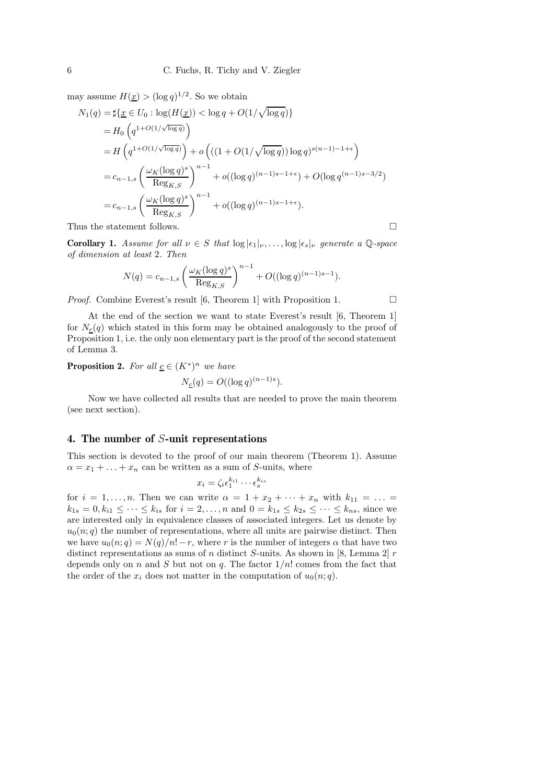may assume  $H(\underline{x}) > (\log q)^{1/2}$ . So we obtain

$$
N_1(q) = \sharp \{ \underline{x} \in U_0 : \log(H(\underline{x})) < \log q + O(1/\sqrt{\log q}) \}
$$
\n
$$
= H_0\left(q^{1+O(1/\sqrt{\log q})}\right)
$$
\n
$$
= H\left(q^{1+O(1/\sqrt{\log q})}\right) + o\left(((1+O(1/\sqrt{\log q}))\log q)^{s(n-1)-1+\epsilon}\right)
$$
\n
$$
= c_{n-1,s} \left(\frac{\omega_K(\log q)^s}{\text{Reg}_{K,S}}\right)^{n-1} + o((\log q)^{(n-1)s-1+\epsilon}) + O(\log q^{(n-1)s-3/2})
$$
\n
$$
= c_{n-1,s} \left(\frac{\omega_K(\log q)^s}{\text{Reg}_{K,S}}\right)^{n-1} + o((\log q)^{(n-1)s-1+\epsilon}).
$$

Thus the statement follows.  $\Box$ 

**Corollary 1.** Assume for all  $\nu \in S$  that  $\log |\epsilon_1|_{\nu}, \ldots, \log |\epsilon_s|_{\nu}$  generate a Q-space of dimension at least 2. Then

$$
N(q) = c_{n-1,s} \left( \frac{\omega_K (\log q)^s}{\text{Reg}_{K,S}} \right)^{n-1} + O((\log q)^{(n-1)s-1}).
$$

*Proof.* Combine Everest's result [6, Theorem 1] with Proposition 1.  $\Box$ 

At the end of the section we want to state Everest's result [6, Theorem 1] for  $N_c(q)$  which stated in this form may be obtained analogously to the proof of Proposition 1, i.e. the only non elementary part is the proof of the second statement of Lemma 3.

**Proposition 2.** For all  $\underline{c} \in (K^*)^n$  we have

$$
N_{\underline{c}}(q) = O((\log q)^{(n-1)s}).
$$

Now we have collected all results that are needed to prove the main theorem (see next section).

#### 4. The number of S-unit representations

This section is devoted to the proof of our main theorem (Theorem 1). Assume  $\alpha = x_1 + \ldots + x_n$  can be written as a sum of S-units, where

$$
x_i = \zeta_i \epsilon_1^{k_{i1}} \cdots \epsilon_s^{k_{is}}
$$

for  $i = 1, \ldots, n$ . Then we can write  $\alpha = 1 + x_2 + \cdots + x_n$  with  $k_{11} = \ldots =$  $k_{1s} = 0, k_{i1} \leq \cdots \leq k_{is}$  for  $i = 2, \ldots, n$  and  $0 = k_{1s} \leq k_{2s} \leq \cdots \leq k_{ns}$ , since we are interested only in equivalence classes of associated integers. Let us denote by  $u_0(n; q)$  the number of representations, where all units are pairwise distinct. Then we have  $u_0(n; q) = N(q)/n! - r$ , where r is the number of integers  $\alpha$  that have two distinct representations as sums of n distinct S-units. As shown in [8, Lemma 2]  $r$ depends only on n and S but not on q. The factor  $1/n!$  comes from the fact that the order of the  $x_i$  does not matter in the computation of  $u_0(n; q)$ .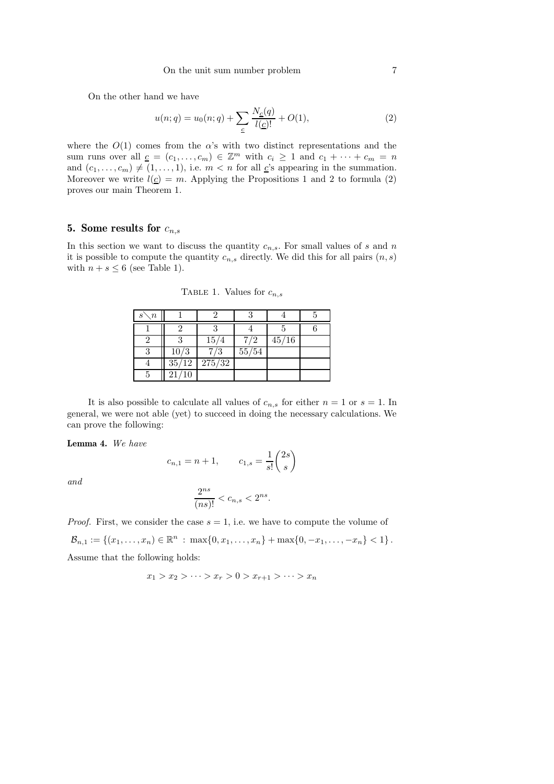On the other hand we have

$$
u(n;q) = u_0(n;q) + \sum_{\underline{c}} \frac{N_{\underline{c}}(q)}{l(\underline{c})!} + O(1),
$$
\n(2)

where the  $O(1)$  comes from the  $\alpha$ 's with two distinct representations and the sum runs over all  $\underline{c} = (c_1, \ldots, c_m) \in \mathbb{Z}^m$  with  $c_i \geq 1$  and  $c_1 + \cdots + c_m = n$ and  $(c_1, \ldots, c_m) \neq (1, \ldots, 1)$ , i.e.  $m < n$  for all <u>c</u>'s appearing in the summation. Moreover we write  $l(\underline{c}) = m$ . Applying the Propositions 1 and 2 to formula (2) proves our main Theorem 1.

## 5. Some results for  $c_{n,s}$

In this section we want to discuss the quantity  $c_{n,s}$ . For small values of s and n it is possible to compute the quantity  $c_{n,s}$  directly. We did this for all pairs  $(n, s)$ with  $n + s \leq 6$  (see Table 1).

| s<br>$\smallsetminus n$ |                    |        |       |       |  |
|-------------------------|--------------------|--------|-------|-------|--|
|                         |                    |        |       |       |  |
|                         |                    | 15/4   | 7/2   | 45/16 |  |
| 9                       | 10/3               | 7/3    | 55/54 |       |  |
|                         | 35/12              | 275/32 |       |       |  |
|                         | $\overline{21}/10$ |        |       |       |  |

TABLE 1. Values for  $c_{n,s}$ 

It is also possible to calculate all values of  $c_{n,s}$  for either  $n = 1$  or  $s = 1$ . In general, we were not able (yet) to succeed in doing the necessary calculations. We can prove the following:

Lemma 4. We have

$$
c_{n,1} = n + 1,
$$
  $c_{1,s} = \frac{1}{s!} {2s \choose s}$ 

and

$$
\frac{2^{ns}}{(ns)!} < c_{n,s} < 2^{ns}.
$$

*Proof.* First, we consider the case  $s = 1$ , i.e. we have to compute the volume of

 $\mathcal{B}_{n,1} := \{(x_1,\ldots,x_n) \in \mathbb{R}^n : \max\{0,x_1,\ldots,x_n\} + \max\{0,-x_1,\ldots,-x_n\} < 1\}.$ 

Assume that the following holds:

$$
x_1 > x_2 > \dots > x_r > 0 > x_{r+1} > \dots > x_n
$$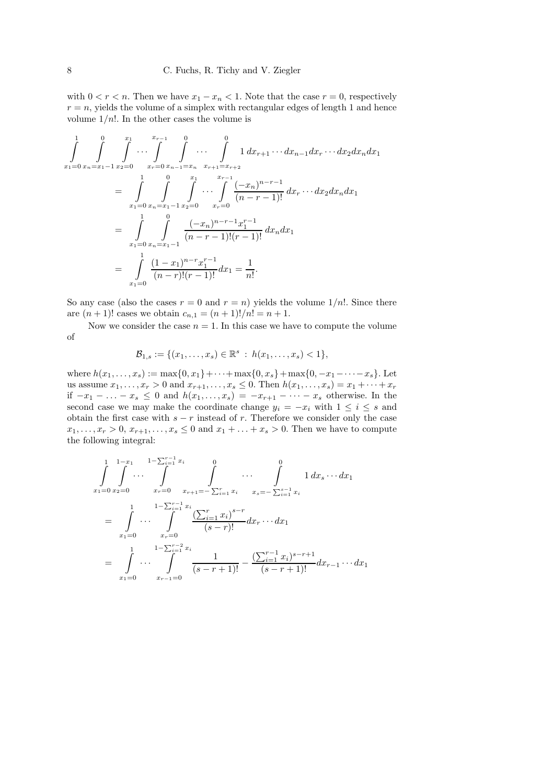with  $0 < r < n$ . Then we have  $x_1 - x_n < 1$ . Note that the case  $r = 0$ , respectively  $r = n$ , yields the volume of a simplex with rectangular edges of length 1 and hence volume  $1/n!$ . In the other cases the volume is

$$
\int_{x_1=0}^{1} \int_{x_n=x_1-1}^{0} \int_{x_2=0}^{x_1} \cdots \int_{x_r=0}^{x_{r-1}} \int_{x_{r-1}=x_n}^{0} \cdots \int_{x_{r+1}=x_{r+2}}^{0} 1 dx_{r+1} \cdots dx_{n-1} dx_r \cdots dx_2 dx_n dx_1
$$
\n
$$
= \int_{x_1=0}^{1} \int_{x_n=x_1-1}^{0} \int_{x_2=0}^{x_1} \cdots \int_{x_r=0}^{x_{r-1}} \frac{(-x_n)^{n-r-1}}{(n-r-1)!} dx_r \cdots dx_2 dx_n dx_1
$$
\n
$$
= \int_{x_1=0}^{1} \int_{x_n=x_1-1}^{0} \frac{(-x_n)^{n-r-1} x_1^{r-1}}{(n-r-1)!(r-1)!} dx_n dx_1
$$
\n
$$
= \int_{x_1=0}^{1} \frac{(1-x_1)^{n-r} x_1^{r-1}}{(n-r)!(r-1)!} dx_1 = \frac{1}{n!}.
$$

So any case (also the cases  $r = 0$  and  $r = n$ ) yields the volume  $1/n!$ . Since there are  $(n + 1)!$  cases we obtain  $c_{n,1} = (n + 1)!/n! = n + 1$ .

Now we consider the case  $n = 1$ . In this case we have to compute the volume of

$$
\mathcal{B}_{1,s} := \{ (x_1,\ldots,x_s) \in \mathbb{R}^s : h(x_1,\ldots,x_s) < 1 \},\
$$

where  $h(x_1, ..., x_s) := \max\{0, x_1\} + \cdots + \max\{0, x_s\} + \max\{0, -x_1 - \cdots - x_s\}$ . Let us assume  $x_1, ..., x_r > 0$  and  $x_{r+1}, ..., x_s \leq 0$ . Then  $h(x_1, ..., x_s) = x_1 + ... + x_r$ if  $-x_1 - \ldots - x_s \leq 0$  and  $h(x_1, \ldots, x_s) = -x_{r+1} - \cdots - x_s$  otherwise. In the second case we may make the coordinate change  $y_i = -x_i$  with  $1 \le i \le s$  and obtain the first case with  $s - r$  instead of r. Therefore we consider only the case  $x_1, ..., x_r > 0, x_{r+1}, ..., x_s \leq 0$  and  $x_1 + ... + x_s > 0$ . Then we have to compute the following integral:

$$
\int_{x_1=0}^{1} \int_{x_2=0}^{1-x_1} \cdots \int_{x_r=0}^{1-\sum_{i=1}^{r-1}x_i} \int_{x_r=0}^{0} \cdots \int_{x_r=0}^{0} 1 dx_s \cdots dx_1
$$
  
\n
$$
= \int_{x_1=0}^{1} \cdots \int_{x_r=0}^{1-\sum_{i=1}^{r-1}x_i} \frac{(\sum_{i=1}^r x_i)^{s-r}}{(s-r)!} dx_r \cdots dx_1
$$
  
\n
$$
= \int_{x_1=0}^{1} \cdots \int_{x_r=0}^{1-\sum_{i=1}^{r-2}x_i} \frac{1}{(s-r+1)!} - \frac{(\sum_{i=1}^{r-1}x_i)^{s-r+1}}{(s-r+1)!} dx_{r-1} \cdots dx_1
$$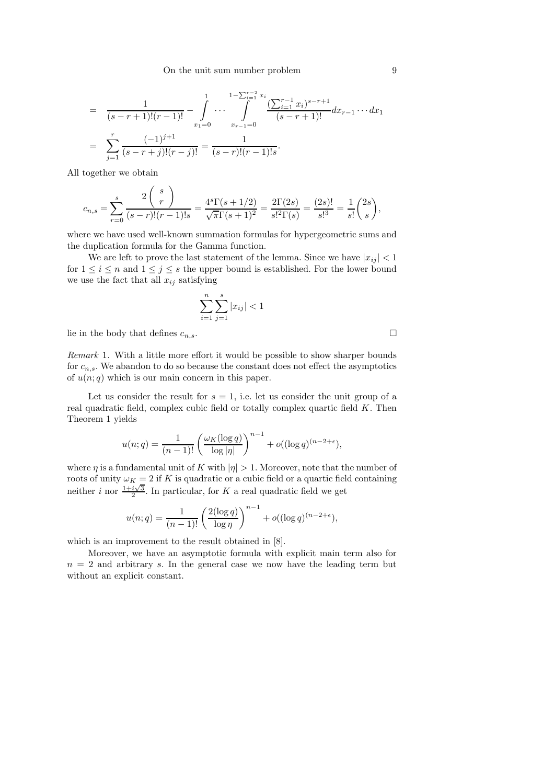$$
= \frac{1}{(s-r+1)!(r-1)!} - \int_{x_1=0}^{1} \cdots \int_{x_{r-1}=0}^{1-\sum_{i=1}^{r-2} x_i} \frac{(\sum_{i=1}^{r-1} x_i)^{s-r+1}}{(s-r+1)!} dx_{r-1} \cdots dx_1
$$
  

$$
= \sum_{j=1}^{r} \frac{(-1)^{j+1}}{(s-r+j)!(r-j)!} = \frac{1}{(s-r)!(r-1)!s}.
$$

All together we obtain

$$
c_{n,s} = \sum_{r=0}^{s} \frac{2 {s \choose r}}{(s-r)!(r-1)!s} = \frac{4^{s}\Gamma(s+1/2)}{\sqrt{\pi}\Gamma(s+1)^{2}} = \frac{2\Gamma(2s)}{s!^{2}\Gamma(s)} = \frac{(2s)!}{s!^{3}} = \frac{1}{s!} {2s \choose s},
$$

where we have used well-known summation formulas for hypergeometric sums and the duplication formula for the Gamma function.

We are left to prove the last statement of the lemma. Since we have  $|x_{ij}| < 1$ for  $1 \leq i \leq n$  and  $1 \leq j \leq s$  the upper bound is established. For the lower bound we use the fact that all  $x_{ij}$  satisfying

$$
\sum_{i=1}^{n} \sum_{j=1}^{s} |x_{ij}| < 1
$$

lie in the body that defines  $c_{n,s}$ .

Remark 1. With a little more effort it would be possible to show sharper bounds for  $c_{n,s}$ . We abandon to do so because the constant does not effect the asymptotics of  $u(n; q)$  which is our main concern in this paper.

Let us consider the result for  $s = 1$ , i.e. let us consider the unit group of a real quadratic field, complex cubic field or totally complex quartic field  $K$ . Then Theorem 1 yields

$$
u(n;q) = \frac{1}{(n-1)!} \left(\frac{\omega_K(\log q)}{\log |\eta|}\right)^{n-1} + o((\log q)^{(n-2+\epsilon}),
$$

where  $\eta$  is a fundamental unit of K with  $|\eta| > 1$ . Moreover, note that the number of roots of unity  $\omega_K = 2$  if K is quadratic or a cubic field or a quartic field containing neither i nor  $\frac{1+i\sqrt{3}}{2}$ . In particular, for K a real quadratic field we get

$$
u(n;q) = \frac{1}{(n-1)!} \left(\frac{2(\log q)}{\log n}\right)^{n-1} + o((\log q)^{(n-2+\epsilon}),
$$

which is an improvement to the result obtained in [8].

Moreover, we have an asymptotic formula with explicit main term also for  $n = 2$  and arbitrary s. In the general case we now have the leading term but without an explicit constant.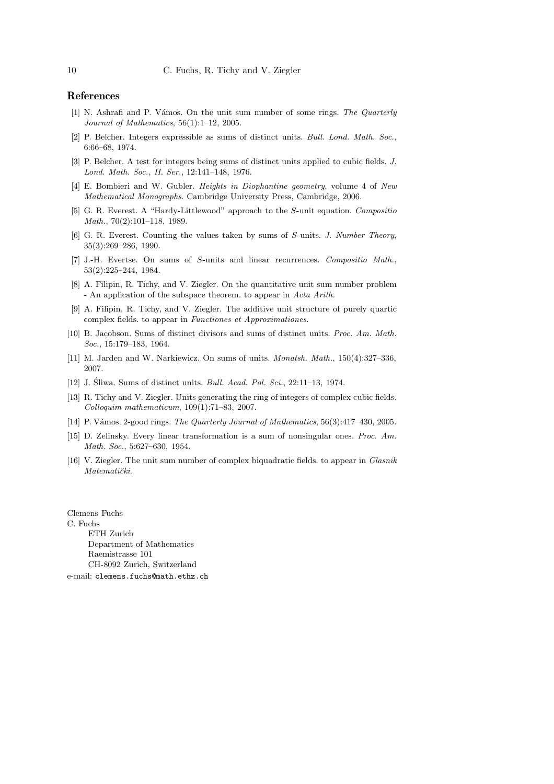#### References

- [1] N. Ashrafi and P. V´amos. On the unit sum number of some rings. The Quarterly Journal of Mathematics, 56(1):1–12, 2005.
- [2] P. Belcher. Integers expressible as sums of distinct units. Bull. Lond. Math. Soc., 6:66–68, 1974.
- [3] P. Belcher. A test for integers being sums of distinct units applied to cubic fields. J. Lond. Math. Soc., II. Ser., 12:141–148, 1976.
- [4] E. Bombieri and W. Gubler. Heights in Diophantine geometry, volume 4 of New Mathematical Monographs. Cambridge University Press, Cambridge, 2006.
- [5] G. R. Everest. A "Hardy-Littlewood" approach to the S-unit equation. Compositio Math., 70(2):101–118, 1989.
- [6] G. R. Everest. Counting the values taken by sums of S-units. J. Number Theory, 35(3):269–286, 1990.
- [7] J.-H. Evertse. On sums of S-units and linear recurrences. Compositio Math., 53(2):225–244, 1984.
- [8] A. Filipin, R. Tichy, and V. Ziegler. On the quantitative unit sum number problem - An application of the subspace theorem. to appear in Acta Arith.
- [9] A. Filipin, R. Tichy, and V. Ziegler. The additive unit structure of purely quartic complex fields. to appear in Functiones et Approximationes.
- [10] B. Jacobson. Sums of distinct divisors and sums of distinct units. Proc. Am. Math. Soc., 15:179–183, 1964.
- [11] M. Jarden and W. Narkiewicz. On sums of units. Monatsh. Math., 150(4):327–336, 2007.
- [12] J. Śliwa. Sums of distinct units. Bull. Acad. Pol. Sci., 22:11-13, 1974.
- [13] R. Tichy and V. Ziegler. Units generating the ring of integers of complex cubic fields. Colloquim mathematicum, 109(1):71–83, 2007.
- [14] P. Vámos. 2-good rings. The Quarterly Journal of Mathematics, 56(3):417-430, 2005.
- [15] D. Zelinsky. Every linear transformation is a sum of nonsingular ones. Proc. Am. Math. Soc., 5:627–630, 1954.
- [16] V. Ziegler. The unit sum number of complex biquadratic fields. to appear in Glasnik Matematički.

Clemens Fuchs

C. Fuchs

ETH Zurich Department of Mathematics Raemistrasse 101 CH-8092 Zurich, Switzerland

e-mail: clemens.fuchs@math.ethz.ch